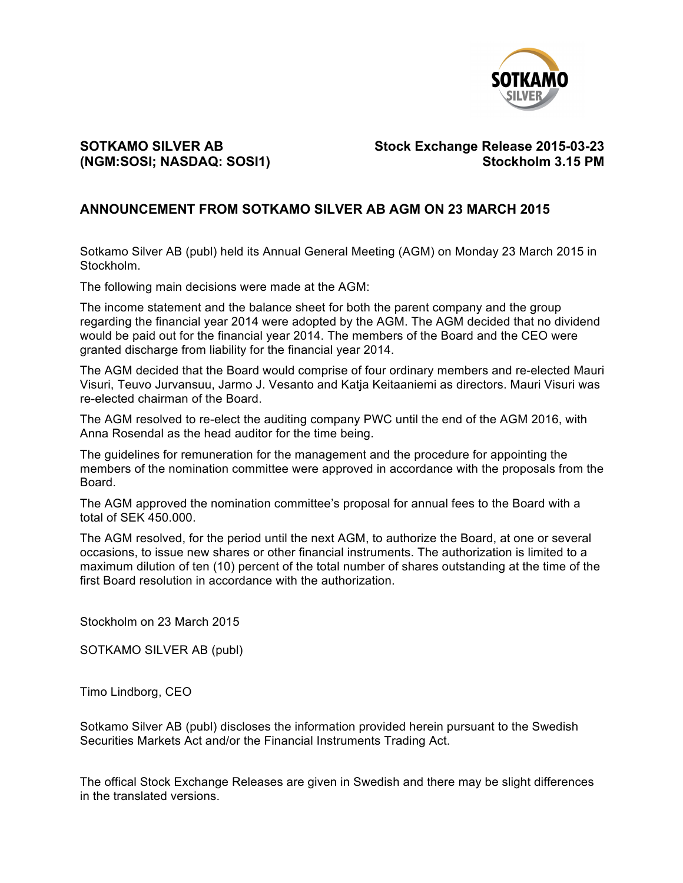

## **SOTKAMO SILVER AB Stock Exchange Release 2015-03-23 (NGM:SOSI; NASDAQ: SOSI1) Stockholm 3.15 PM**

## **ANNOUNCEMENT FROM SOTKAMO SILVER AB AGM ON 23 MARCH 2015**

Sotkamo Silver AB (publ) held its Annual General Meeting (AGM) on Monday 23 March 2015 in Stockholm.

The following main decisions were made at the AGM:

The income statement and the balance sheet for both the parent company and the group regarding the financial year 2014 were adopted by the AGM. The AGM decided that no dividend would be paid out for the financial year 2014. The members of the Board and the CEO were granted discharge from liability for the financial year 2014.

The AGM decided that the Board would comprise of four ordinary members and re-elected Mauri Visuri, Teuvo Jurvansuu, Jarmo J. Vesanto and Katja Keitaaniemi as directors. Mauri Visuri was re-elected chairman of the Board.

The AGM resolved to re-elect the auditing company PWC until the end of the AGM 2016, with Anna Rosendal as the head auditor for the time being.

The guidelines for remuneration for the management and the procedure for appointing the members of the nomination committee were approved in accordance with the proposals from the Board.

The AGM approved the nomination committee's proposal for annual fees to the Board with a total of SEK 450.000.

The AGM resolved, for the period until the next AGM, to authorize the Board, at one or several occasions, to issue new shares or other financial instruments. The authorization is limited to a maximum dilution of ten (10) percent of the total number of shares outstanding at the time of the first Board resolution in accordance with the authorization.

Stockholm on 23 March 2015

SOTKAMO SILVER AB (publ)

Timo Lindborg, CEO

Sotkamo Silver AB (publ) discloses the information provided herein pursuant to the Swedish Securities Markets Act and/or the Financial Instruments Trading Act.

The offical Stock Exchange Releases are given in Swedish and there may be slight differences in the translated versions.